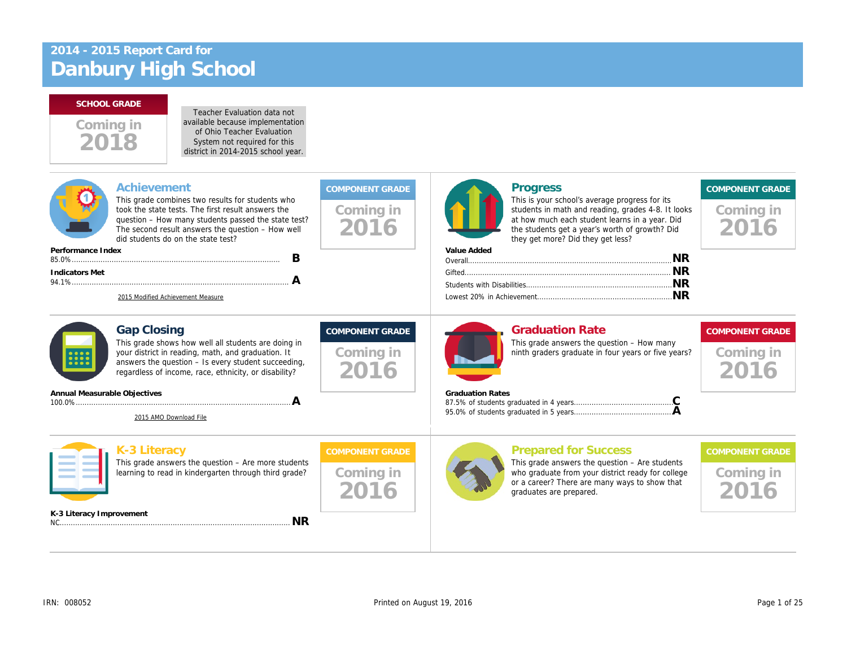

Teacher Evaluation data not available because implementation of Ohio Teacher Evaluation System not required for this district in 2014-2015 school year.

| Achievement<br>This grade combines two results for students who<br>took the state tests. The first result answers the<br>question - How many students passed the state test?<br>The second result answers the question - How well<br>did students do on the state test?<br>Performance Index<br>B<br>Indicators Met<br>A<br>2015 Modified Achievement Measure | Coming in<br>2016                           | <b>Progress</b><br>This is your school's average progress f<br>students in math and reading, grades 4-<br>at how much each student learns in a ye<br>the students get a year's worth of growtl<br>they get more? Did they get less?<br>Value Added |
|---------------------------------------------------------------------------------------------------------------------------------------------------------------------------------------------------------------------------------------------------------------------------------------------------------------------------------------------------------------|---------------------------------------------|----------------------------------------------------------------------------------------------------------------------------------------------------------------------------------------------------------------------------------------------------|
| <b>Gap Closing</b><br>This grade shows how well all students are doing in<br>your district in reading, math, and graduation. It<br>answers the question - Is every student succeeding,<br>regardless of income, race, ethnicity, or disability?<br>Annual Measurable Objectives<br>A<br>2015 AMO Download File                                                | <b>COMPONENT GRADE</b><br>Coming in<br>2016 | <b>Graduation Rate</b><br>This grade answers the question - How<br>ninth graders graduate in four years or f<br><b>Graduation Rates</b>                                                                                                            |
| K-3 Literacy<br>This grade answers the question $-$ Are more students<br>learning to read in kindergarten through third grade?<br>K-3 Literacy Improvement<br><b>NR</b>                                                                                                                                                                                       | <b>COMPONENT GRADE</b><br>Coming in         | <b>Prepared for Success</b><br>This grade answers the question $-$ Are $s$<br>who graduate from your district ready fo<br>or a career? There are many ways to sh<br>graduates are prepared.                                                        |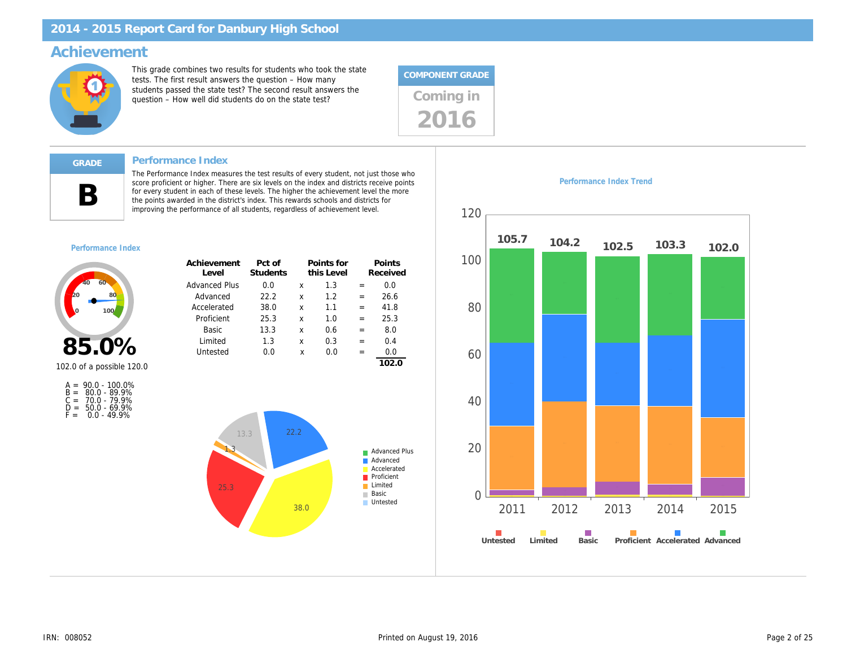# Achievement

This grade combines two results for students who took the state tests. The first result answers the question – How many students passed the state test? The second result answers the students passed the state test? The second result answers the<br>question – How well did students do on the state test?



#### Performance Index

The Performance Index measures the test results of every student, not just those who score proficient or higher. There are six levels on the index and districts receive points for every student in each of these levels. The higher the achievement level the more the points awarded in the district's index. This rewards schools and districts for improving the performance of all students, regardless of achievement level.

#### Performance Index

B

| Achievement<br>Level | Pct of<br><b>Students</b> |   | Points for<br>this Level |     | Points<br>Received |
|----------------------|---------------------------|---|--------------------------|-----|--------------------|
| <b>Advanced Plus</b> | 0.0                       | x | 1.3                      | =   | 0.0                |
| Advanced             | 22.2                      | x | 1.2                      | =   | 26.6               |
| Accelerated          | 38.0                      | x | 1.1                      | $=$ | 41.8               |
| Proficient           | 25.3                      | x | 1.0                      | =   | 25.3               |
| Basic                | 13.3                      | x | 0.6                      | =   | 8.0                |
| Limited              | 1.3                       | x | 0.3                      | =   | 0.4                |
| Untested             | 0.0                       | x | 0.0                      |     | 0.0                |
|                      |                           |   |                          |     |                    |

# 85.0%

102.0 of a possible 120.0

|       | $A = 90.0 - 100.0\%$ |
|-------|----------------------|
|       | $B = 80.0 - 89.9%$   |
| $C =$ | 70.0 - 79.9%         |
| D =   | 50.0 - 69.9%         |
| F =   | $0.0 - 49.9%$        |

Performance Index Trend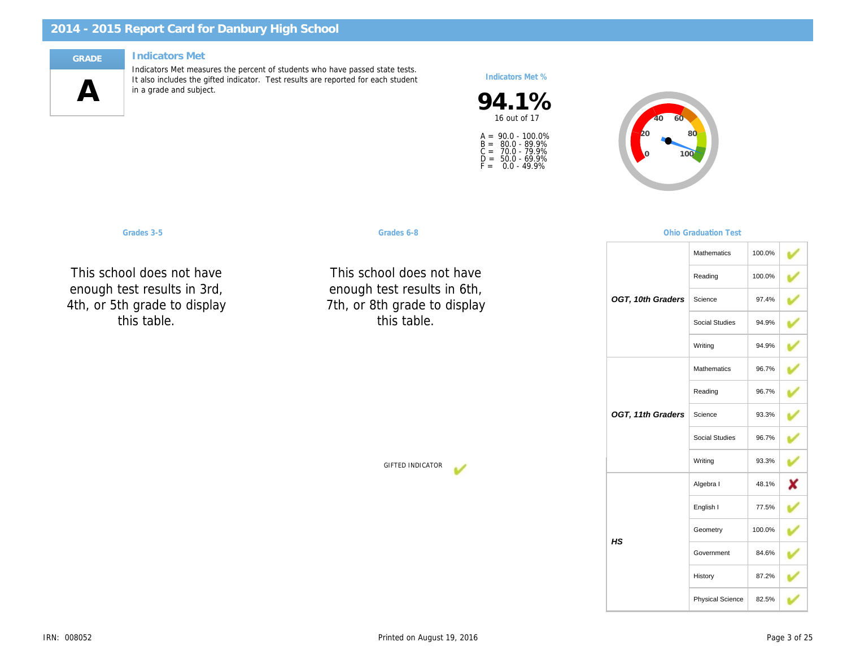#### **Indicators Met**



Indicators Met measures the percent of students who have passed state tests. It also includes the gifted indicator. Test results are reported for each student in a grade and subject.

Indicators Met %

94.1% 16 out of 17

A =<br>B =<br>C =<br>D =<br>F = 90.0 - 100.0% 80.0 - 89.9% 70.0 - 79.9% 50.0 - 69.9% 0.0 - 49.9%

Grades 3-5 Graduation Communication Communication Crackets Graduation Communication Test of the Crackets of Graduation Test of the Crackets of Graduation Test of the Crackets of Graduation Test of the Crackets of Graduatio

This school does not have enough test results in 3rd, 4th, or 5th grade to display this table.

This school does not have enough test results in 6th, 7th, or 8th grade to display this table.

OGT, 11th 0

OGT, 10th 0

GIFTED INDICATOR

HS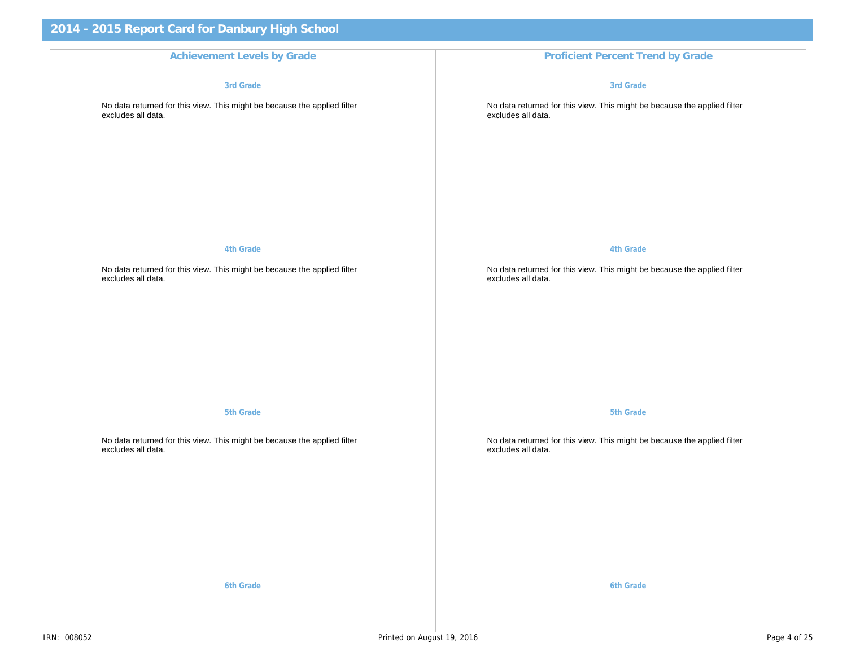#### Achievement Levels by Grade **Proficient Percent Trend by Grade** Proficient Percent Trend

3rd Grade

No data returned for this view. This might be because the applied filter excludes all data.

4th Grade

No data returned for this view. This might be because the applied filter excludes all data.

5th Grade

No data returned for this view. This might be because the applied filter excludes all data.

3rd Grade

No data returned for this view. This might be b excludes all data.

4th Grade

No data returned for this view. This might be b excludes all data.

5th Grade

No data returned for this view. This might be b excludes all data.

6th Grade 6th Grade 6th Grade 6th Grade 6th Grade 6th Grade 6th Grade 6th Grade 6th Grade 6th Grade 6th Grade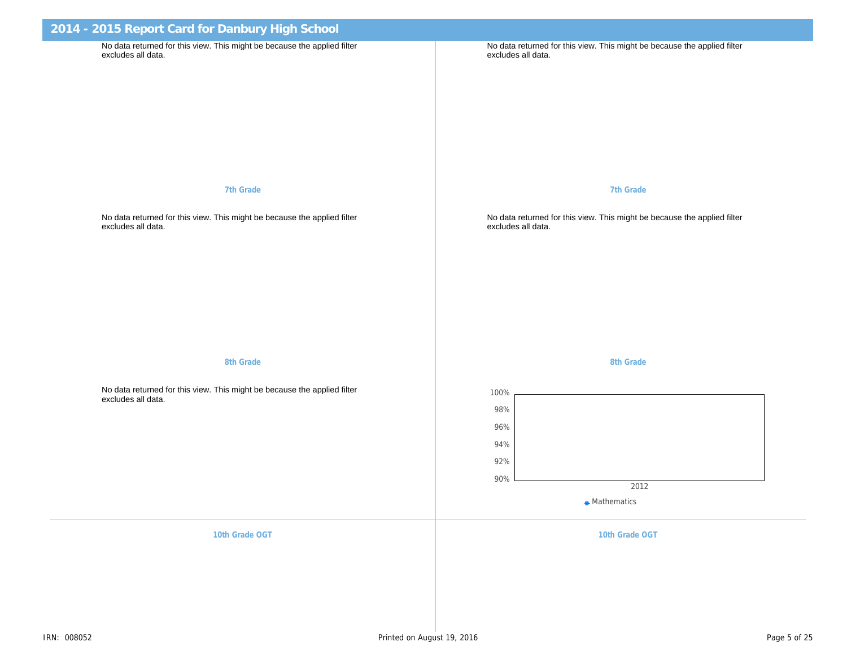| 2014 - 2015 Report Card for Danbury High School                                                             |                                                                       |
|-------------------------------------------------------------------------------------------------------------|-----------------------------------------------------------------------|
| No data returned for this view. This might be because the applied filter<br>excludes all data.              | No data returned for this view. This might be b<br>excludes all data. |
| 7th Grade                                                                                                   | 7th Grade                                                             |
| No data returned for this view. This might be because the applied filter<br>excludes all data.              | No data returned for this view. This might be b<br>excludes all data. |
| 8th Grade<br>No data returned for this view. This might be because the applied filter<br>excludes all data. | 8th Grade                                                             |
| 10th Grade OGT                                                                                              | 10th Grade OG                                                         |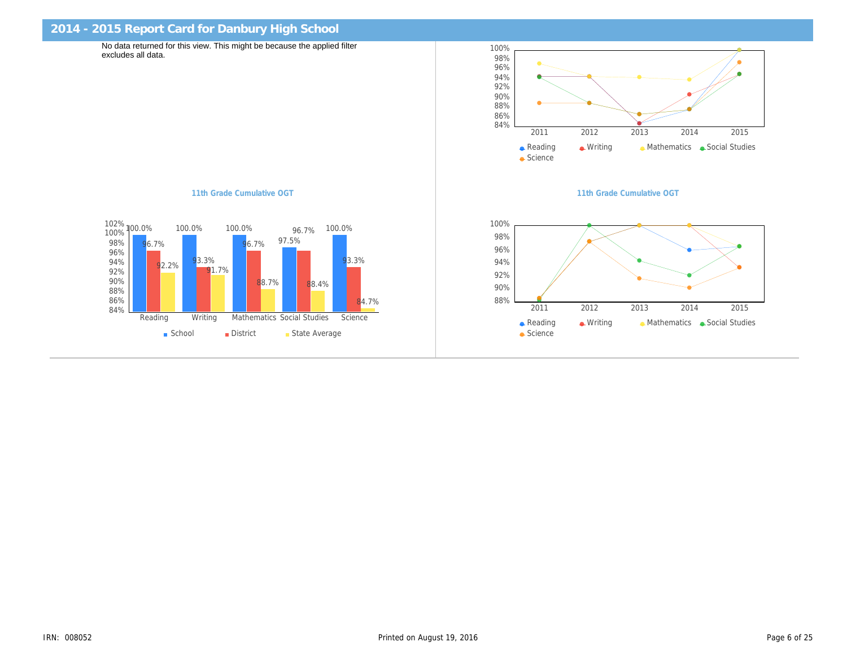| 2014 - 2015 Report Card for Danbury High School                                                |                      |
|------------------------------------------------------------------------------------------------|----------------------|
| No data returned for this view. This might be because the applied filter<br>excludes all data. |                      |
|                                                                                                |                      |
|                                                                                                |                      |
|                                                                                                |                      |
|                                                                                                |                      |
| 11th Grade Cumulative OGT                                                                      | 11th Grade Cumulativ |
|                                                                                                |                      |
|                                                                                                |                      |
|                                                                                                |                      |
|                                                                                                |                      |
|                                                                                                |                      |
|                                                                                                |                      |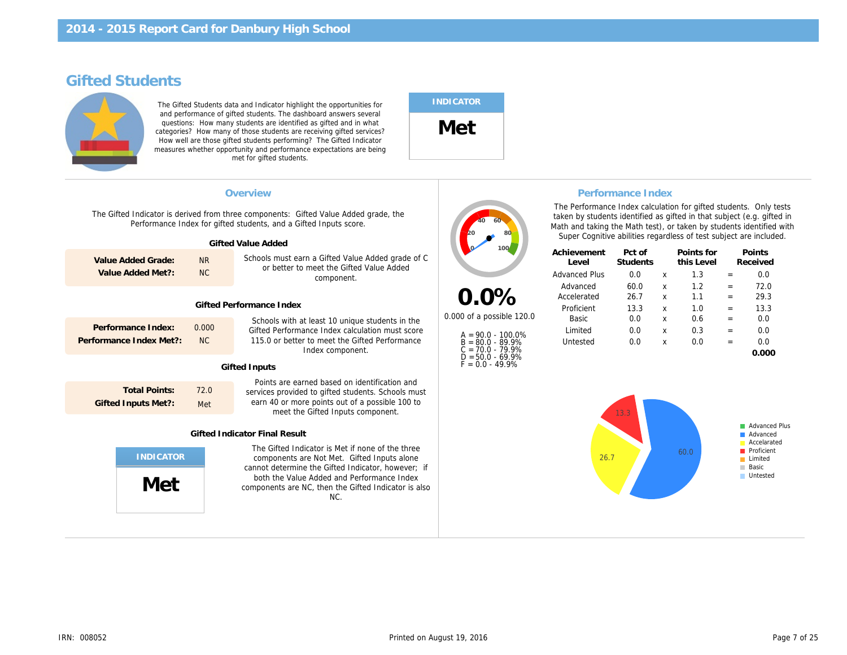# Gifted Students

The Gifted Students data and Indicator highlight the opportunities for and performance of gifted students. The dashboard answers several questions: How many students are identified as gifted and in what categories? How many of those students are receiving gifted services? How well are those gifted students performing? The Gifted Indicator measures whether opportunity and performance expectations are being met for gifted students.

### INDICATOR

Met

| Overview<br>Performance Inde<br>The Performance Index cald<br>The Gifted Indicator is derived from three components: Gifted Value Added grade, the<br>taken by students identified<br>Performance Index for gifted students, and a Gifted Inputs score.<br>Math and taking the Math tes<br>Super Cognitive abilities re<br>Gifted Value Added<br>Achievement<br>Pct of<br>Schools must earn a Gifted Value Added grade of C<br><b>NR</b><br>Value Added Grade:<br>Students<br>Level<br>or better to meet the Gifted Value Added<br><b>NC</b><br>Value Added Met?:<br><b>Advanced Plus</b><br>0.0<br>component.<br>60.0<br>Advanced<br>$0.0\%$<br>26.7<br>Accelerated<br><b>Gifted Performance Index</b><br>13.3<br>Proficient<br>0.000 of a possible 120.0<br>0.0<br>Basic<br>Schools with at least 10 unique students in the<br>Performance Index:<br>0.000<br>Gifted Performance Index calculation must score<br>Limited<br>0.0<br>$A = 90.0 - 100.0\%$<br>Performance Index Met?:<br><b>NC</b><br>115.0 or better to meet the Gifted Performance<br>0.0<br>$B = 80.0 - 89.9%$<br>Untested<br>$C = 70.0 - 79.9%$<br>Index component.<br>$D = 50.0 - 69.9%$<br>$F = 0.0 - 49.9%$<br><b>Gifted Inputs</b><br>Points are earned based on identification and<br><b>Total Points:</b><br>72.0<br>services provided to gifted students. Schools must<br>earn 40 or more points out of a possible 100 to<br><b>Gifted Inputs Met?:</b><br>Met<br>meet the Gifted Inputs component.<br><b>Gifted Indicator Final Result</b><br>The Gifted Indicator is Met if none of the three<br>components are Not Met. Gifted Inputs alone<br>cannot determine the Gifted Indicator, however; if<br>both the Value Added and Performance Index |
|------------------------------------------------------------------------------------------------------------------------------------------------------------------------------------------------------------------------------------------------------------------------------------------------------------------------------------------------------------------------------------------------------------------------------------------------------------------------------------------------------------------------------------------------------------------------------------------------------------------------------------------------------------------------------------------------------------------------------------------------------------------------------------------------------------------------------------------------------------------------------------------------------------------------------------------------------------------------------------------------------------------------------------------------------------------------------------------------------------------------------------------------------------------------------------------------------------------------------------------------------------------------------------------------------------------------------------------------------------------------------------------------------------------------------------------------------------------------------------------------------------------------------------------------------------------------------------------------------------------------------------------------------------------------------------------------------------------------------|
|                                                                                                                                                                                                                                                                                                                                                                                                                                                                                                                                                                                                                                                                                                                                                                                                                                                                                                                                                                                                                                                                                                                                                                                                                                                                                                                                                                                                                                                                                                                                                                                                                                                                                                                              |
|                                                                                                                                                                                                                                                                                                                                                                                                                                                                                                                                                                                                                                                                                                                                                                                                                                                                                                                                                                                                                                                                                                                                                                                                                                                                                                                                                                                                                                                                                                                                                                                                                                                                                                                              |
|                                                                                                                                                                                                                                                                                                                                                                                                                                                                                                                                                                                                                                                                                                                                                                                                                                                                                                                                                                                                                                                                                                                                                                                                                                                                                                                                                                                                                                                                                                                                                                                                                                                                                                                              |
| Met<br>components are NC, then the Gifted Indicator is also<br>NC.                                                                                                                                                                                                                                                                                                                                                                                                                                                                                                                                                                                                                                                                                                                                                                                                                                                                                                                                                                                                                                                                                                                                                                                                                                                                                                                                                                                                                                                                                                                                                                                                                                                           |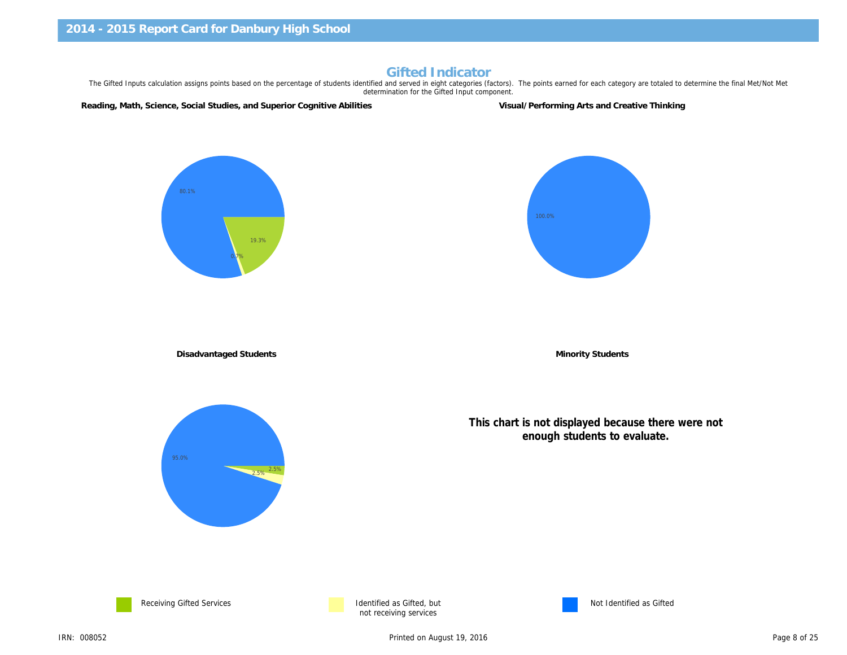#### Gifted Indicator

The Gifted Inputs calculation assigns points based on the percentage of students identified and served in eight categories (factors). The points earned for each category are to determination for the Gifted Input component.

Reading, Math, Science, Social Studies, and Superior Cognitive Abilities Visual/Performing Arts and Creative Thinkin

Disadvantaged Students **Minority Students** Minority Students

This chart is not displayed because t enough students to evalua





not receiving services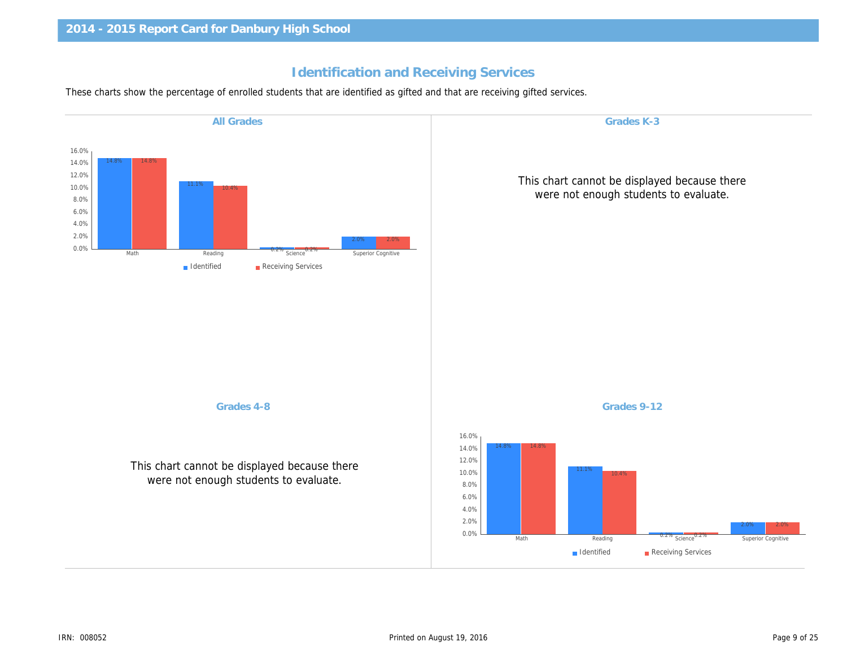# Identification and Receiving Services

These charts show the percentage of enrolled students that are identified as gifted and that are receiving gifted services.

| Grades K-3                                            | <b>All Grades</b>                                                                     |
|-------------------------------------------------------|---------------------------------------------------------------------------------------|
|                                                       |                                                                                       |
| This chart cannot be displa<br>were not enough studer |                                                                                       |
|                                                       |                                                                                       |
|                                                       |                                                                                       |
|                                                       |                                                                                       |
|                                                       |                                                                                       |
|                                                       |                                                                                       |
| Grades 9-12                                           | Grades 4-8                                                                            |
|                                                       | This chart cannot be displayed because there<br>were not enough students to evaluate. |
|                                                       |                                                                                       |
|                                                       |                                                                                       |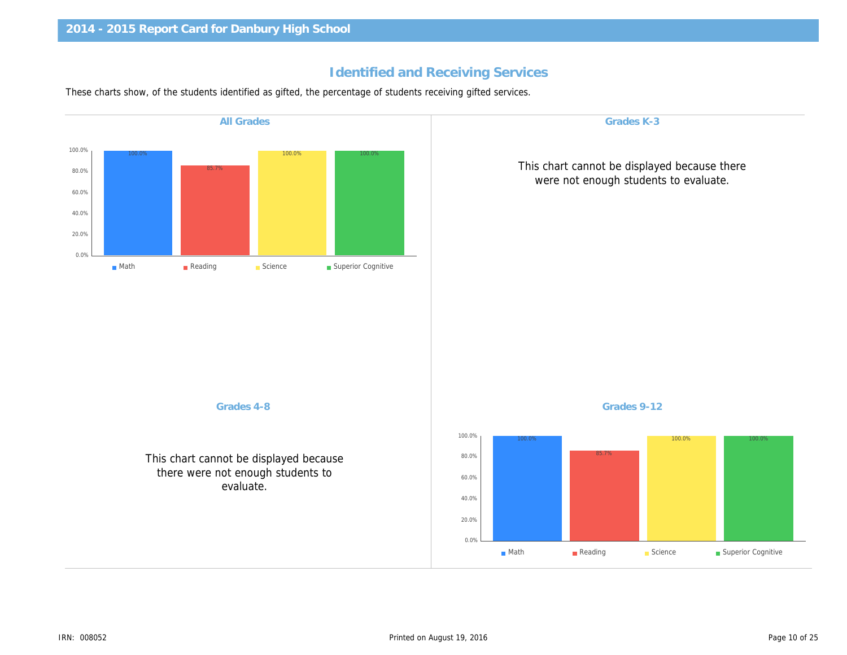# Identified and Receiving Services

These charts show, of the students identified as gifted, the percentage of students receiving gifted services.

| <b>All Grades</b>                                                                        | Grades K-3                                            |
|------------------------------------------------------------------------------------------|-------------------------------------------------------|
|                                                                                          | This chart cannot be displa<br>were not enough studer |
|                                                                                          |                                                       |
|                                                                                          |                                                       |
|                                                                                          |                                                       |
| Grades 4-8                                                                               | Grades 9-12                                           |
| This chart cannot be displayed because<br>there were not enough students to<br>evaluate. |                                                       |
|                                                                                          |                                                       |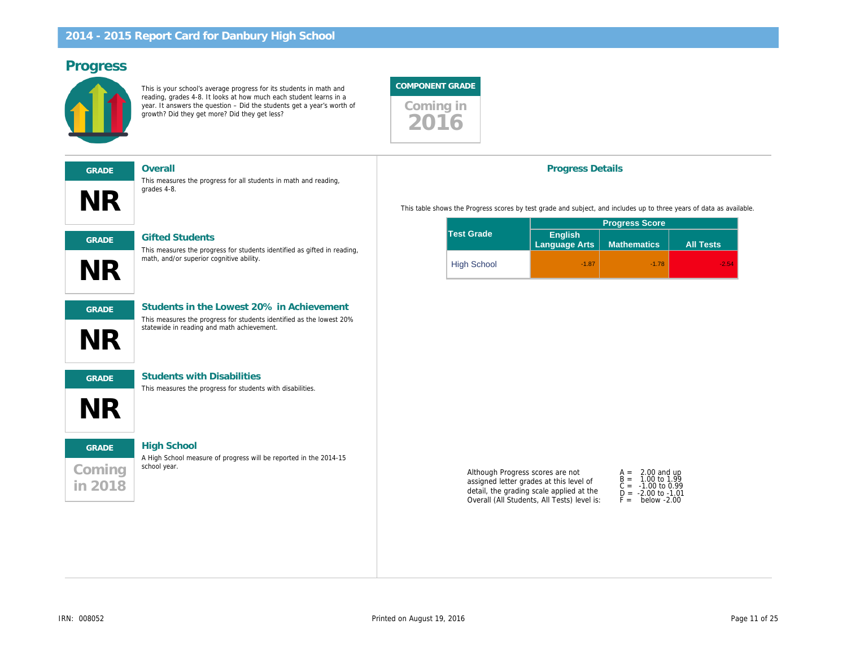# Progress

This is your school's average progress for its students in math and reading, grades 4-8. It looks at how much each student learns in a year. It answers the question – Did the students get a year's worth of growth? Did they get more? Did they get less?



| <b>GRADE</b> | Overall                                                                                            |
|--------------|----------------------------------------------------------------------------------------------------|
| NR           | This measures the progress for all students in math and reading,<br>grades 4-8.                    |
| <b>GRADE</b> | <b>Gifted Students</b><br>This measures the progress for students identified as gifted in reading. |
|              |                                                                                                    |



# GRADE Students in the Lowest 20% in Achievement

This measures the progress for students identified as the lowest 20% statewide in reading and math achievement.



NR

#### GRADE Students with Disabilities

math, and/or superior cognitive ability.

This measures the progress for students with disabilities.

# Coming in 2018 GRADE High School

A High School measure of progress will be reported in the 2014-15 school year.

#### Progress Details

This table shows the Progress scores by test grade and subject, and includes up to

|                    | <b>Progress Scol</b>     |                    |  |
|--------------------|--------------------------|--------------------|--|
| <b>Test Grade</b>  | English<br>Language Arts | <b>Mathematics</b> |  |
| <b>High School</b> | $-1.87$                  |                    |  |

Although Progress scores are not assigned letter grades at this level of detail, the grading scale applied at the Overall (All Students, All Tests) level is:

| A =<br>B =<br>C =<br>D =<br>F = | 2.00<br>1.00<br>$-1.00$<br>$-2.00$<br>bela |  |
|---------------------------------|--------------------------------------------|--|
|---------------------------------|--------------------------------------------|--|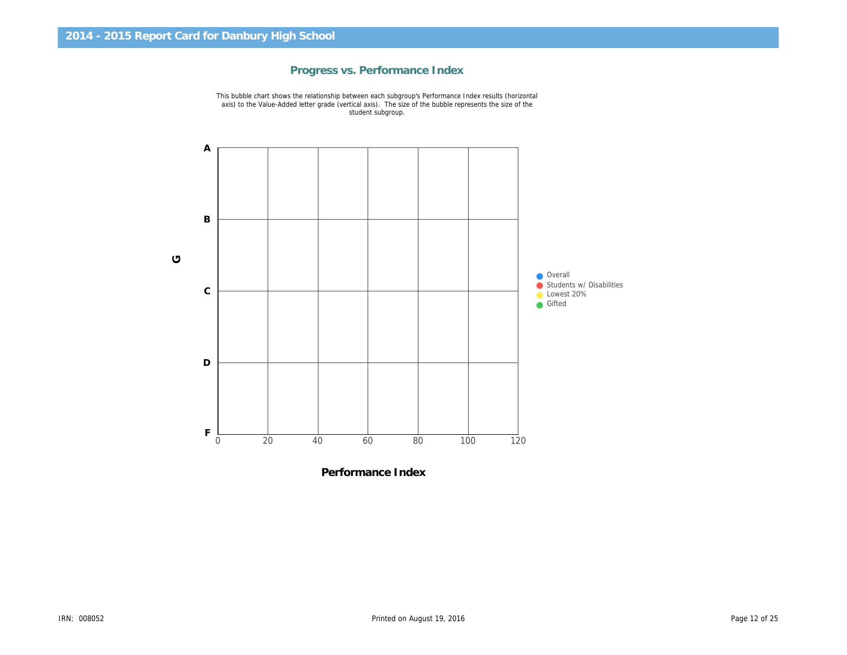

# Progress vs. Performance Index

Performance Index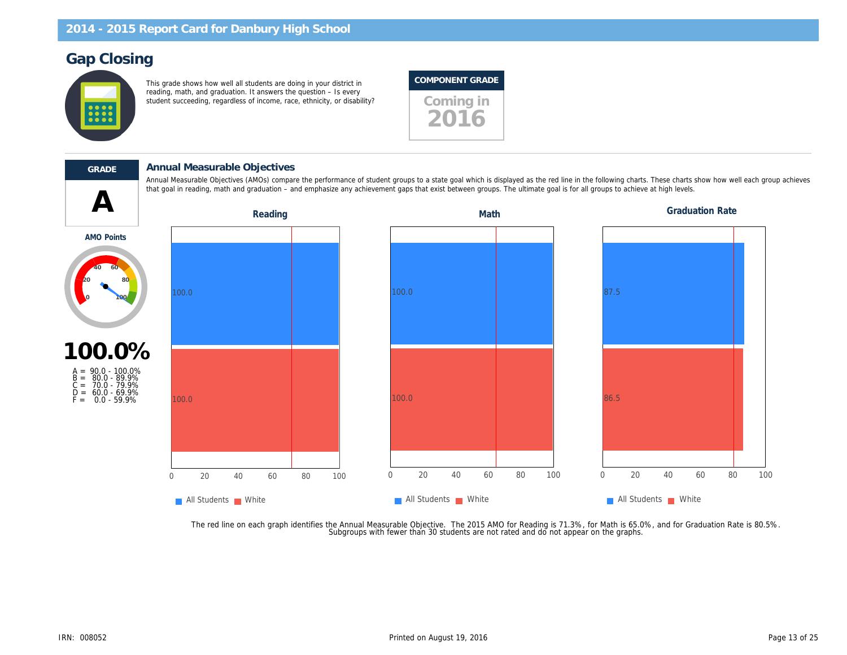# Gap Closing

This grade shows how well all students are doing in your district in reading, math, and graduation. It answers the question – Is every student succeeding, regardless of income, race, ethnicity, or disability? Coming in

# COMPONENT GRADE



 $\blacktriangle$ 

#### GRADE Annual Measurable Objectives

Annual Measurable Objectives (AMOs) compare the performance of student groups to a state goal which is displayed as the red line in the following charts. T that goal in reading, math and graduation – and emphasize any achievement gaps that exist between groups. The ultimate goal is for all groups to achieve at

Reading **Math** Graduation Reading Math Graduation Math

AMO Points



A = 90.0 - 100.0% B = 80.0 - 89.9% C = 70.0 - 79.9% D = 60.0 - 69.9%  $F = 0.0 - 59.9\%$ 

The red line on each graph identifies the Annual Measurable Objective. The 2015 AMO for Reading is 71.3%, for Math is 65.0%,<br>.Subgroups with fewer than 30 students are not rated and do not appear on the graphs.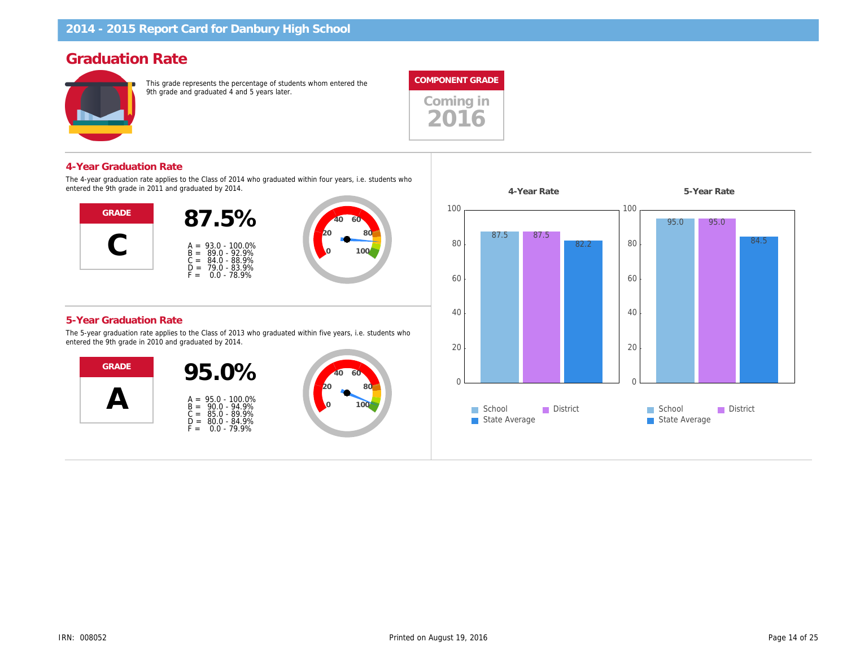# Graduation Rate

This grade represents the percentage of students whom entered the 9th grade and graduated 4 and 5 years later.



#### 4-Year Graduation Rate

The 4-year graduation rate applies to the Class of 2014 who graduated within four years, i.e. students who entered the 9th grade in 2011 and graduated by 2014.



#### 5-Year Graduation Rate

The 5-year graduation rate applies to the Class of 2013 who graduated within five years, i.e. students who entered the 9th grade in 2010 and graduated by 2014.



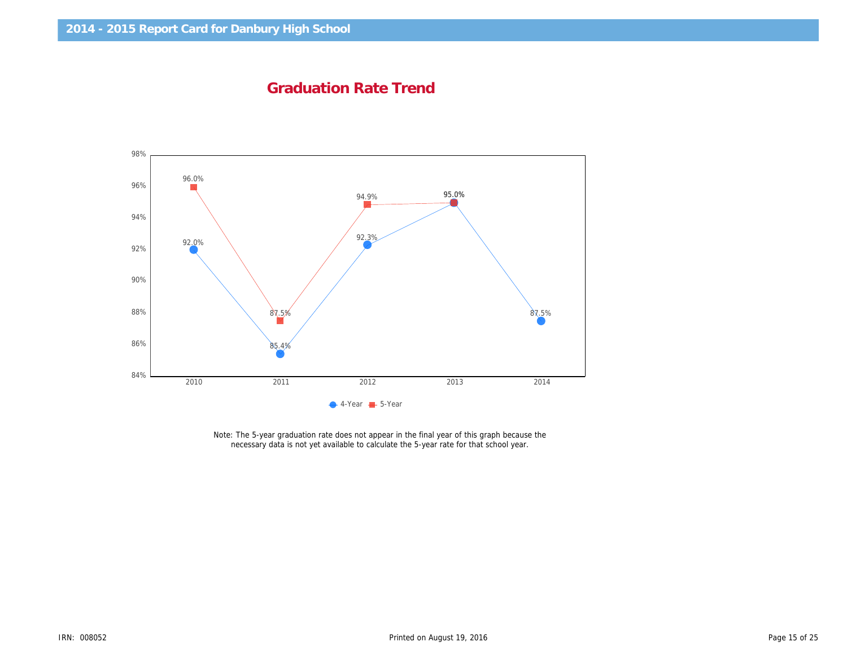Graduation Rate Trend

Note: The 5-year graduation rate does not appear in the final year of this graph because the necessary data is not yet available to calculate the 5-year rate for that school year.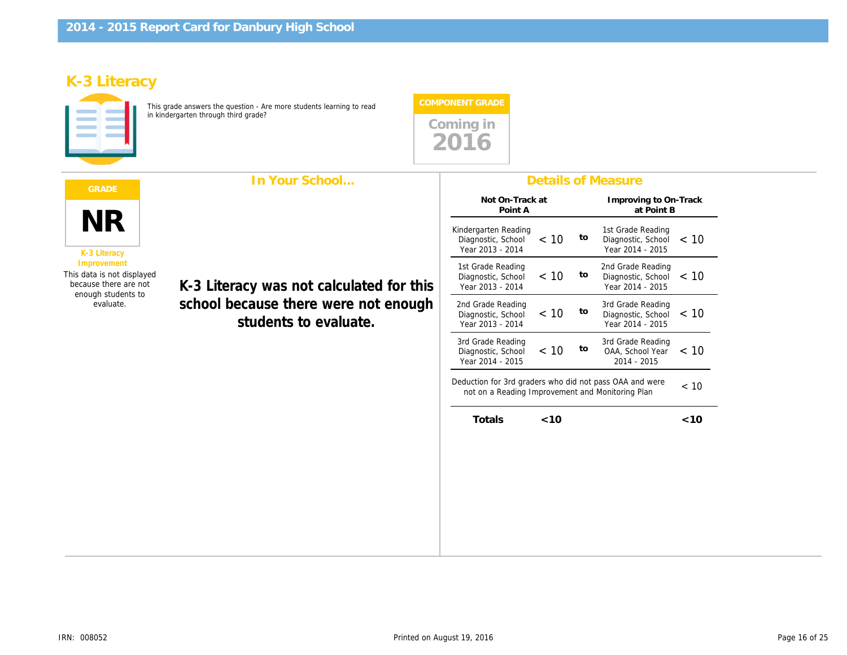# K-3 Literacy

This grade answers the question - Are more students learning to read in kindergarten through third grade?



|                                                                                          | In Your School                                                                                            | <b>Details of Measure</b>                                                                                 |        |    |                                                  |
|------------------------------------------------------------------------------------------|-----------------------------------------------------------------------------------------------------------|-----------------------------------------------------------------------------------------------------------|--------|----|--------------------------------------------------|
|                                                                                          | K-3 Literacy was not calculated for this<br>school because there were not enough<br>students to evaluate. | Not On-Track at<br>Point A                                                                                |        |    | Improving to<br>at Poi                           |
| <b>NR</b><br>K-3 Literacy                                                                |                                                                                                           | Kindergarten Reading<br>Diagnostic, School<br>Year 2013 - 2014                                            | < 10   | to | 1st Grade Rea<br>Diagnostic, So<br>Year 2014 - 2 |
| Improvement<br>This data is not displayed<br>because there are not<br>enough students to |                                                                                                           | 1st Grade Reading<br>Diagnostic, School<br>Year 2013 - 2014                                               | < 10   | to | 2nd Grade Rea<br>Diagnostic, So<br>Year 2014 - 2 |
| evaluate.                                                                                |                                                                                                           | 2nd Grade Reading<br>Diagnostic, School<br>Year 2013 - 2014                                               | < 10   | to | 3rd Grade Rea<br>Diagnostic, So<br>Year 2014 - 2 |
|                                                                                          |                                                                                                           | 3rd Grade Reading<br>Diagnostic, School<br>Year 2014 - 2015                                               | < 10   | to | 3rd Grade Rea<br>OAA, School<br>2014 - 201       |
|                                                                                          |                                                                                                           | Deduction for 3rd graders who did not pass OAA and we<br>not on a Reading Improvement and Monitoring Plan |        |    |                                                  |
|                                                                                          |                                                                                                           | Totals                                                                                                    | $<$ 10 |    |                                                  |
|                                                                                          |                                                                                                           |                                                                                                           |        |    |                                                  |
|                                                                                          |                                                                                                           |                                                                                                           |        |    |                                                  |
|                                                                                          |                                                                                                           |                                                                                                           |        |    |                                                  |
|                                                                                          |                                                                                                           |                                                                                                           |        |    |                                                  |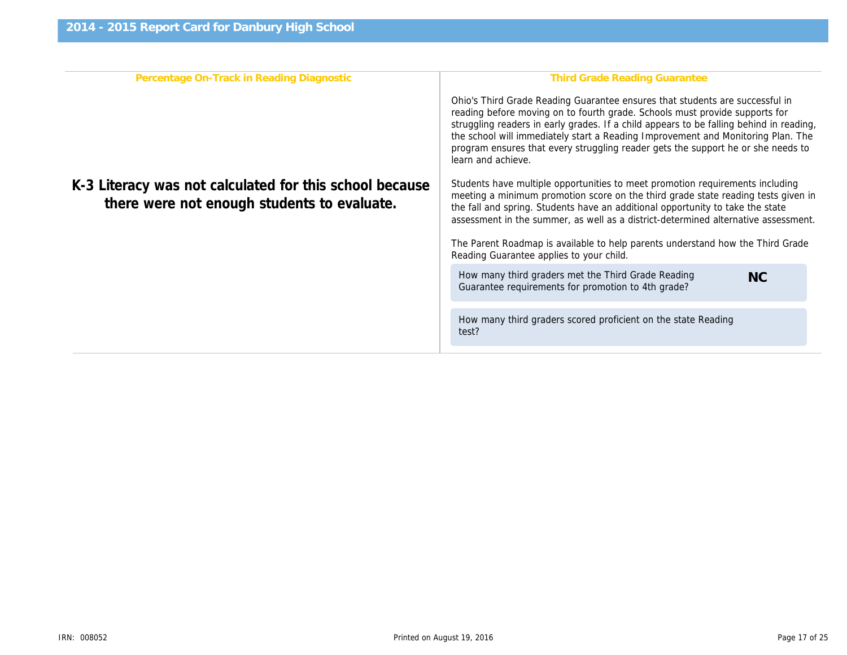| Percentage On-Track in Reading Diagnostic                                                              | Third Grade Reading Gr                                                                                                                                                                                                                                                        |
|--------------------------------------------------------------------------------------------------------|-------------------------------------------------------------------------------------------------------------------------------------------------------------------------------------------------------------------------------------------------------------------------------|
|                                                                                                        | Ohio's Third Grade Reading Guarantee ensure<br>reading before moving on to fourth grade. Scho<br>struggling readers in early grades. If a child ap<br>the school will immediately start a Reading Imp<br>program ensures that every struggling reader g<br>learn and achieve. |
| K-3 Literacy was not calculated for this school because<br>there were not enough students to evaluate. | Students have multiple opportunities to meet p<br>meeting a minimum promotion score on the thi<br>the fall and spring. Students have an additional<br>assessment in the summer, as well as a distric                                                                          |
|                                                                                                        | The Parent Roadmap is available to help parer<br>Reading Guarantee applies to your child.                                                                                                                                                                                     |
|                                                                                                        | How many third graders met the Third Grade<br>Guarantee requirements for promotion to 4th                                                                                                                                                                                     |
|                                                                                                        | How many third graders scored proficient on<br>test?                                                                                                                                                                                                                          |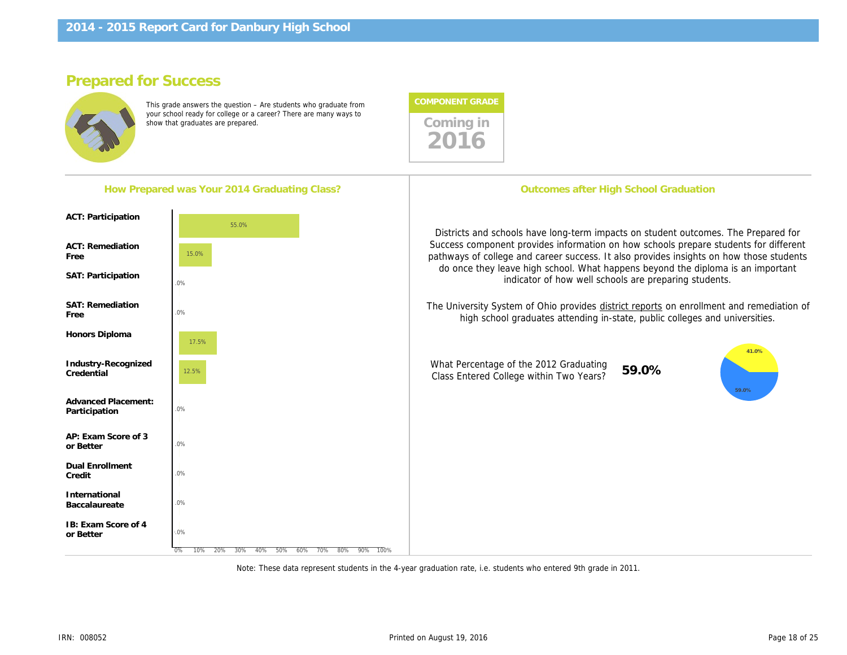# Prepared for Success

This grade answers the question – Are students who graduate from your school ready for college or a career? There are many ways to show that graduates are prepared.



| How Prepared was Your 2014 Graduating Class?          |  | Outcomes after High School Gr                                                                                                                                                                                                                              |       |
|-------------------------------------------------------|--|------------------------------------------------------------------------------------------------------------------------------------------------------------------------------------------------------------------------------------------------------------|-------|
| <b>ACT: Participation</b>                             |  |                                                                                                                                                                                                                                                            |       |
| <b>ACT: Remediation</b><br>Free<br>SAT: Participation |  | Districts and schools have long-term impacts on stu<br>Success component provides information on how sc<br>pathways of college and career success. It also prov<br>do once they leave high school. What happens be<br>indicator of how well schools are pr |       |
| <b>SAT: Remediation</b><br>Free                       |  | The University System of Ohio provides district report<br>high school graduates attending in-state, pub                                                                                                                                                    |       |
| Honors Diploma                                        |  |                                                                                                                                                                                                                                                            |       |
| Industry-Recognized<br>Credential                     |  | What Percentage of the 2012 Graduating<br>Class Entered College within Two Years?                                                                                                                                                                          | 59.0% |
| <b>Advanced Placement:</b><br>Participation           |  |                                                                                                                                                                                                                                                            |       |
| AP: Exam Score of 3<br>or Better                      |  |                                                                                                                                                                                                                                                            |       |
| <b>Dual Enrollment</b><br>Credit                      |  |                                                                                                                                                                                                                                                            |       |
| International<br>Baccalaureate                        |  |                                                                                                                                                                                                                                                            |       |
| IB: Exam Score of 4<br>or Better                      |  |                                                                                                                                                                                                                                                            |       |
|                                                       |  |                                                                                                                                                                                                                                                            |       |

Note: These data represent students in the 4-year graduation rate, i.e. students who entered 9th grade in 2011.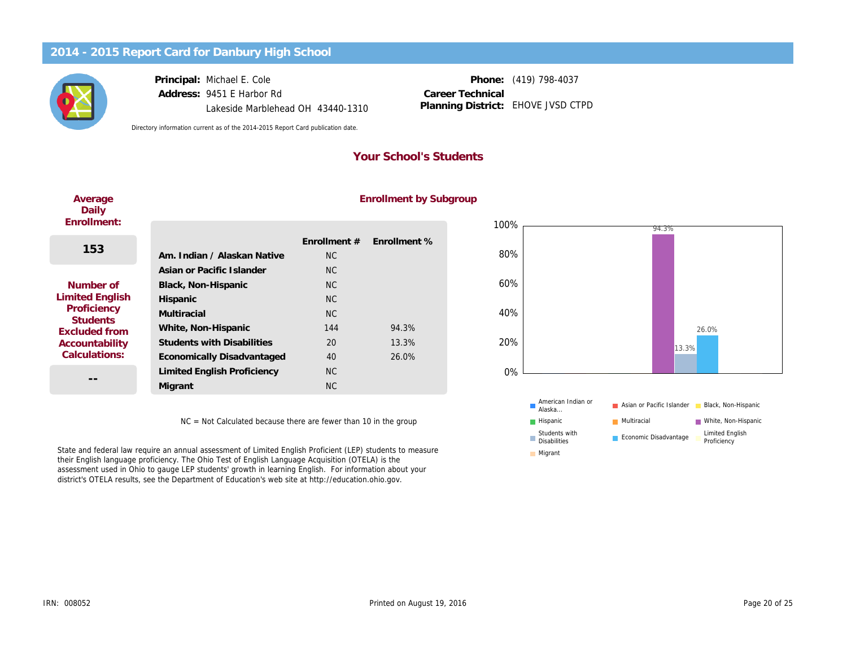Principal: Michael E. Cole Address: 9451 E Harbor Rd Lakeside Marblehead OH 43440-1310

Phone: (419) 798-4037 EHOVE JVSD CTPD Career Technical Planning District:

Directory information current as of the 2014-2015 Report Card publication date.

### Your School's Students

| Average<br>Daily               |                                   |                | <b>Enrollment by S</b> |
|--------------------------------|-----------------------------------|----------------|------------------------|
| Enrollment:                    |                                   |                |                        |
| 153                            |                                   | Enrollment #   | Enrollment %           |
|                                | Am. Indian / Alaskan Native       | NC.            |                        |
|                                | Asian or Pacific Islander         | NC.            |                        |
| Number of                      | Black, Non-Hispanic               | N <sub>C</sub> |                        |
| <b>Limited English</b>         | Hispanic                          | NC.            |                        |
| Proficiency<br><b>Students</b> | Multiracial                       | NC.            |                        |
| <b>Excluded from</b>           | White, Non-Hispanic               | 144            | 94.3%                  |
| Accountability                 | <b>Students with Disabilities</b> | 20             | 13.3%                  |
| Calculations:                  | Economically Disadvantaged        | 40             | 26.0%                  |
|                                | Limited English Proficiency       | N <sub>C</sub> |                        |
| --                             | Migrant                           | <b>NC</b>      |                        |

# Enrollment by Subgroup

NC = Not Calculated because there are fewer than 10 in the group

State and federal law require an annual assessment of Limited English Proficient (LEP) students to measure their English language proficiency. The Ohio Test of English Language Acquisition (OTELA) is the assessment used in Ohio to gauge LEP students' growth in learning English. For information about your district's OTELA results, see the Department of Education's web site at http://education.ohio.gov.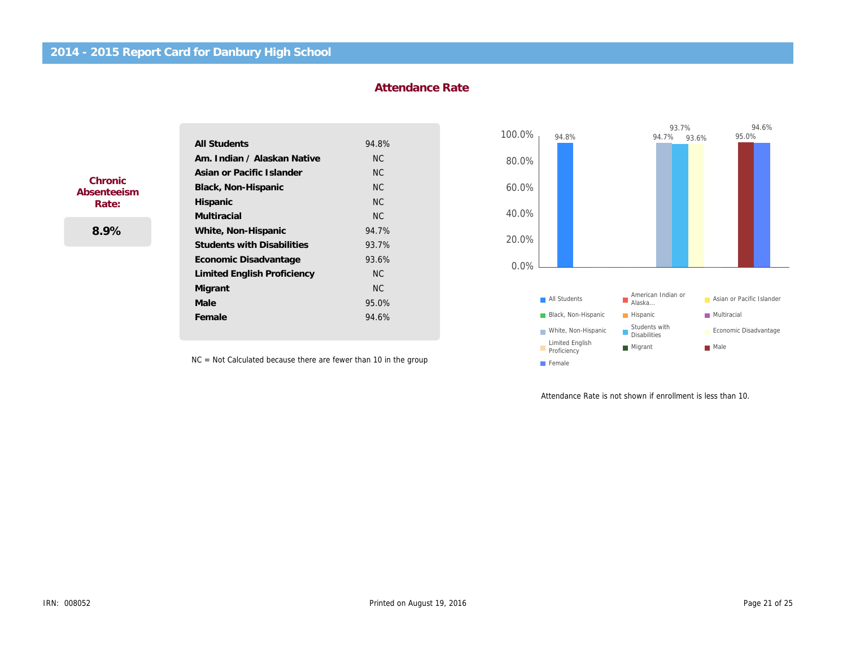#### Attendance Rate

|                        | <b>All Students</b>                | 94.8%     |
|------------------------|------------------------------------|-----------|
|                        | Am. Indian / Alaskan Native        | <b>NC</b> |
|                        | Asian or Pacific Islander          | <b>NC</b> |
| Chronic<br>Absenteeism | Black, Non-Hispanic                | <b>NC</b> |
| Rate:                  | Hispanic                           | <b>NC</b> |
|                        | <b>Multiracial</b>                 | <b>NC</b> |
| 8.9%                   | White, Non-Hispanic                | 94.7%     |
|                        | <b>Students with Disabilities</b>  | 93.7%     |
|                        | Economic Disadvantage              | 93.6%     |
|                        | <b>Limited English Proficiency</b> | NC.       |
|                        | Migrant                            | NC.       |
|                        | Male                               | 95.0%     |
|                        | Female                             | 94.6%     |

NC = Not Calculated because there are fewer than 10 in the group

Attendance Rate is not shown if

ļ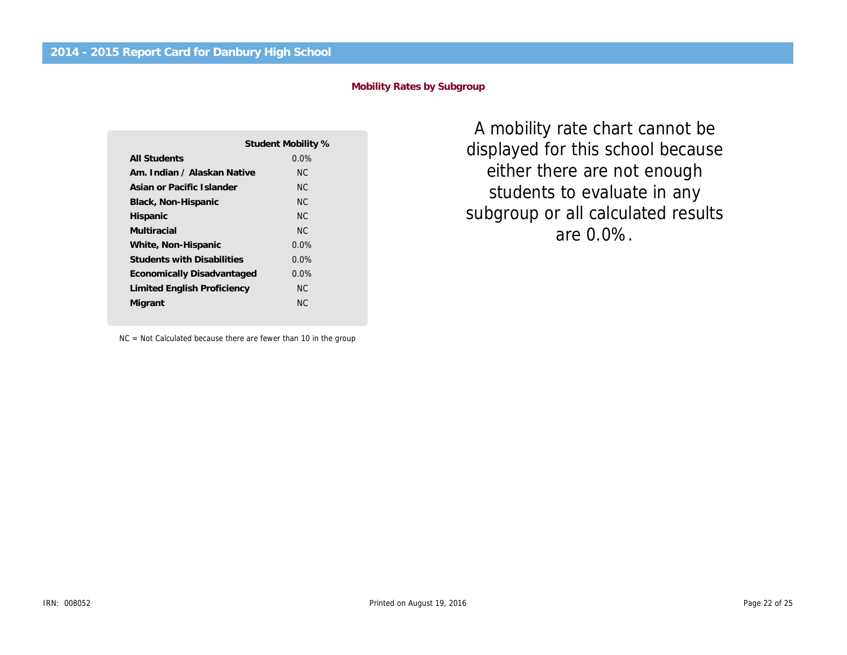#### Mobility Rates by Subgroup

|                                   | Student Mobility % |
|-----------------------------------|--------------------|
| All Students                      | $0.0\%$            |
| Am. Indian / Alaskan Native       | NC.                |
| Asian or Pacific Islander         | NC.                |
| Black, Non-Hispanic               | NC.                |
| Hispanic                          | NC.                |
| Multiracial                       | NC.                |
| White, Non-Hispanic               | $0.0\%$            |
| <b>Students with Disabilities</b> | $0.0\%$            |
| Economically Disadvantaged        | $0.0\%$            |
| Limited English Proficiency       | NC.                |
| Migrant                           | NC.                |
|                                   |                    |

NC = Not Calculated because there are fewer than 10 in the group

A mobility rate chart ca displayed for this school either there are not en students to evaluate i subgroup or all calculate are 0.0%.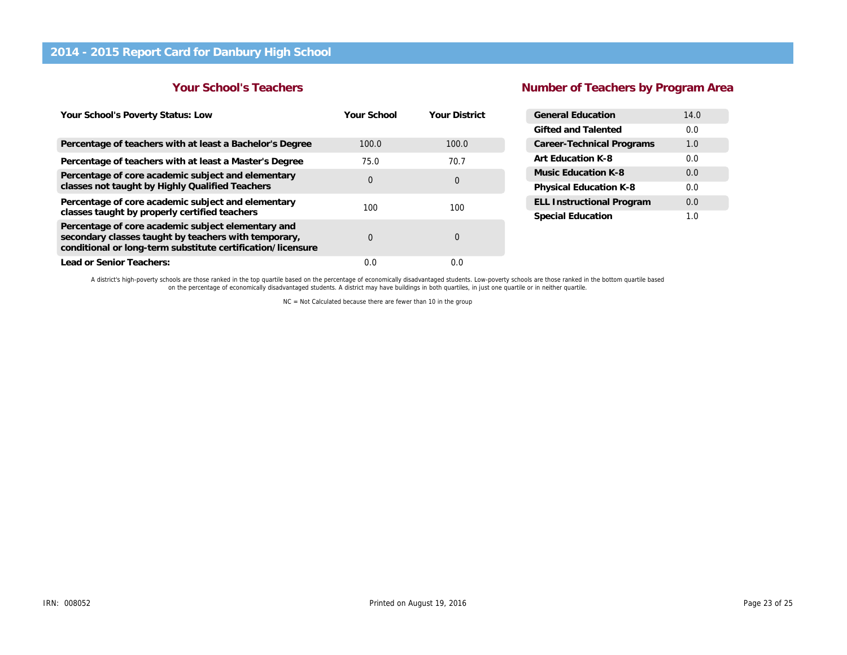#### Your School's Teachers

# Number of Teachers by Program

| Your School's Poverty Status: Low                                                                                                                                         | Your School | <b>Your District</b> | <b>General Education</b>         |
|---------------------------------------------------------------------------------------------------------------------------------------------------------------------------|-------------|----------------------|----------------------------------|
|                                                                                                                                                                           |             |                      | Gifted and Talented              |
| Percentage of teachers with at least a Bachelor's Degree                                                                                                                  | 100.0       | 100.0                | <b>Career-Technical Programs</b> |
| Percentage of teachers with at least a Master's Degree                                                                                                                    | 75.0        | 70.7                 | Art Education K-8                |
| Percentage of core academic subject and elementary                                                                                                                        | $\mathbf 0$ | $\mathbf 0$          | Music Education K-8              |
| classes not taught by Highly Qualified Teachers                                                                                                                           |             |                      | <b>Physical Education K-8</b>    |
| Percentage of core academic subject and elementary                                                                                                                        | 100         | 100                  | <b>ELL Instructional Program</b> |
| classes taught by properly certified teachers                                                                                                                             |             |                      | <b>Special Education</b>         |
| Percentage of core academic subject elementary and<br>secondary classes taught by teachers with temporary,<br>conditional or long-term substitute certification/licensure | 0           | $\mathbf 0$          |                                  |
| Lead or Senior Teachers:                                                                                                                                                  | 0.0         | 0.0                  |                                  |

A district's high-poverty schools are those ranked in the top quartile based on the percentage of economically disadvantaged students. Low-poverty schools are those ranked in the bottom quartile bas<br>on the percentage of ec

NC = Not Calculated because there are fewer than 10 in the group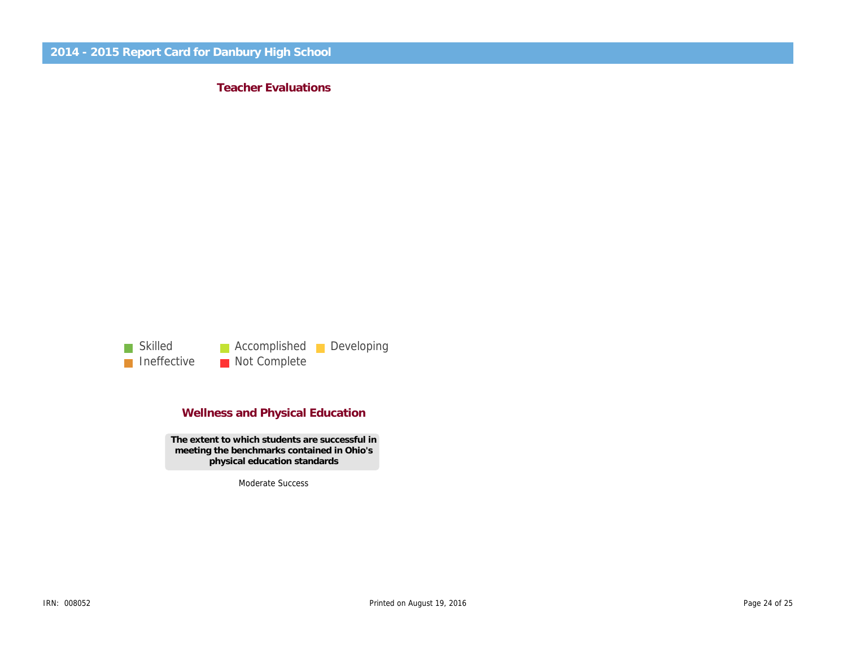Teacher Evaluations

### Wellness and Physical Education

The extent to which students are successful in meeting the benchmarks contained in Ohio's physical education standards

Moderate Success